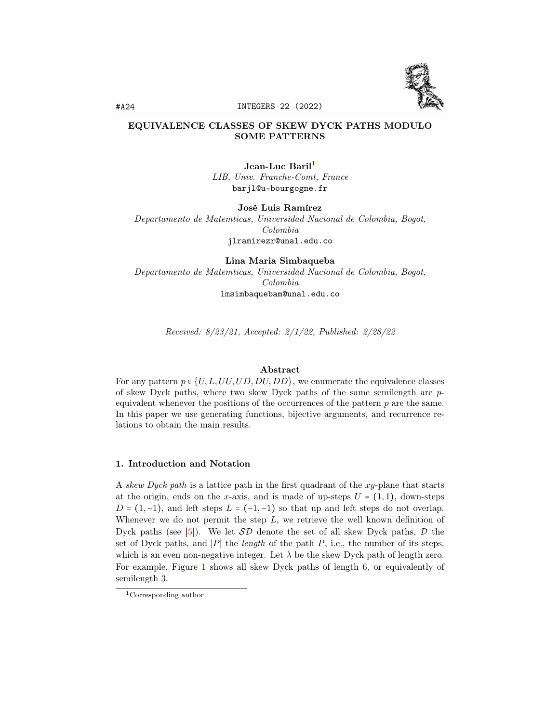

# EQUIVALENCE CLASSES OF SKEW DYCK PATHS MODULO SOME PATTERNS

Jean-Luc Baril<sup>[1](#page-0-0)</sup> LIB, Univ. Franche-Comt, France barjl@u-bourgogne.fr

José Luis Ramírez

Departamento de Matemticas, Universidad Nacional de Colombia, Bogot, Colombia jlramirezr@unal.edu.co

Lina Maria Simbaqueba Departamento de Matemticas, Universidad Nacional de Colombia, Bogot, Colombia lmsimbaquebam@unal.edu.co

Received: 8/23/21, Accepted: 2/1/22, Published: 2/28/22

#### Abstract

For any pattern  $p \in \{U, L, UU, UD, DU, DD\}$ , we enumerate the equivalence classes of skew Dyck paths, where two skew Dyck paths of the same semilength are pequivalent whenever the positions of the occurrences of the pattern  $p$  are the same. In this paper we use generating functions, bijective arguments, and recurrence relations to obtain the main results.

### 1. Introduction and Notation

A skew Dyck path is a lattice path in the first quadrant of the xy-plane that starts at the origin, ends on the x-axis, and is made of up-steps  $U = (1, 1)$ , down-steps  $D = (1, -1)$ , and left steps  $L = (-1, -1)$  so that up and left steps do not overlap. Whenever we do not permit the step  $L$ , we retrieve the well known definition of Dyck paths (see [\[5\]](#page-17-0)). We let  $\mathcal{SD}$  denote the set of all skew Dyck paths,  $\mathcal D$  the set of Dyck paths, and |P| the length of the path P, i.e., the number of its steps, which is an even non-negative integer. Let  $\lambda$  be the skew Dyck path of length zero. For example, Figure [1](#page-1-0) shows all skew Dyck paths of length 6, or equivalently of semilength 3.

<span id="page-0-0"></span><sup>1</sup>Corresponding author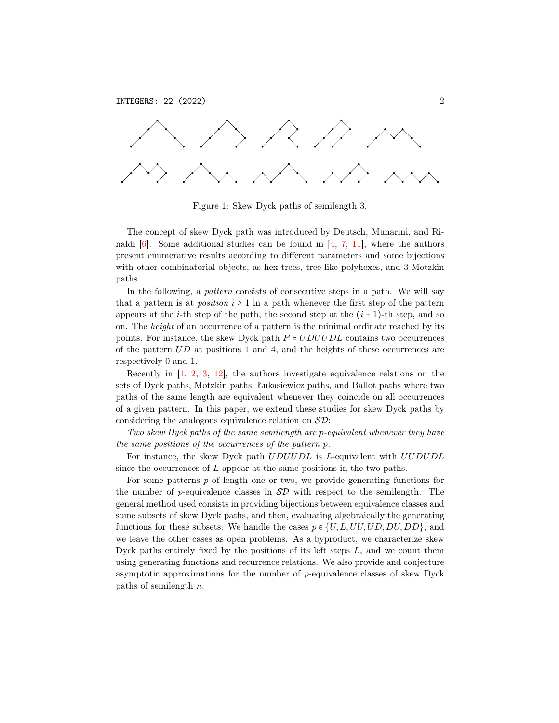<span id="page-1-0"></span>

Figure 1: Skew Dyck paths of semilength 3.

The concept of skew Dyck path was introduced by Deutsch, Munarini, and Rinaldi  $[6]$ . Some additional studies can be found in  $[4, 7, 11]$  $[4, 7, 11]$  $[4, 7, 11]$  $[4, 7, 11]$  $[4, 7, 11]$ , where the authors present enumerative results according to different parameters and some bijections with other combinatorial objects, as hex trees, tree-like polyhexes, and 3-Motzkin paths.

In the following, a *pattern* consists of consecutive steps in a path. We will say that a pattern is at *position*  $i \geq 1$  in a path whenever the first step of the pattern appears at the *i*-th step of the path, the second step at the  $(i + 1)$ -th step, and so on. The height of an occurrence of a pattern is the minimal ordinate reached by its points. For instance, the skew Dyck path  $P = UDUUDL$  contains two occurrences of the pattern  $UD$  at positions 1 and 4, and the heights of these occurrences are respectively 0 and 1.

Recently in [\[1,](#page-17-5) [2,](#page-17-6) [3,](#page-17-7) [12\]](#page-17-8), the authors investigate equivalence relations on the sets of Dyck paths, Motzkin paths, Łukasiewicz paths, and Ballot paths where two paths of the same length are equivalent whenever they coincide on all occurrences of a given pattern. In this paper, we extend these studies for skew Dyck paths by considering the analogous equivalence relation on  $\mathcal{SD}$ :

Two skew Dyck paths of the same semilength are p-equivalent whenever they have the same positions of the occurrences of the pattern p.

For instance, the skew Dyck path  $UDUUDL$  is L-equivalent with  $UUDUDL$ since the occurrences of  $L$  appear at the same positions in the two paths.

For some patterns  $p$  of length one or two, we provide generating functions for the number of p-equivalence classes in  $SD$  with respect to the semilength. The general method used consists in providing bijections between equivalence classes and some subsets of skew Dyck paths, and then, evaluating algebraically the generating functions for these subsets. We handle the cases  $p \in \{U, L, UU, UD, DU, DD\}$ , and we leave the other cases as open problems. As a byproduct, we characterize skew Dyck paths entirely fixed by the positions of its left steps  $L$ , and we count them using generating functions and recurrence relations. We also provide and conjecture asymptotic approximations for the number of p-equivalence classes of skew Dyck paths of semilength n.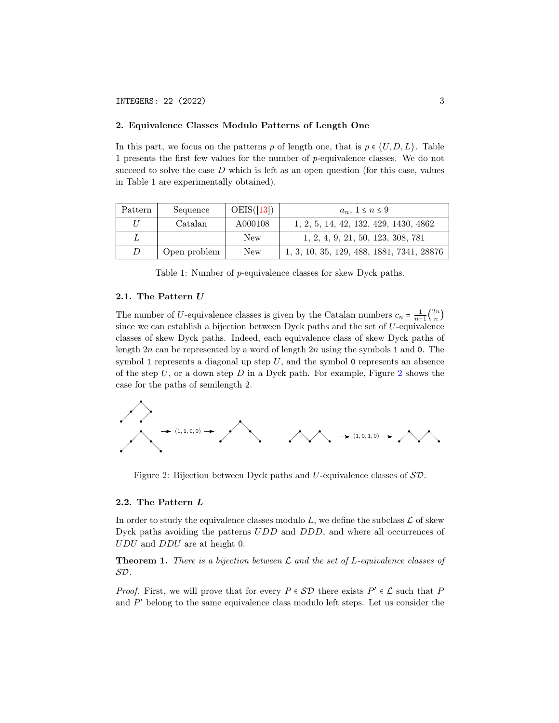### 2. Equivalence Classes Modulo Patterns of Length One

In this part, we focus on the patterns p of length one, that is  $p \in \{U, D, L\}$ . Table 1 presents the first few values for the number of p-equivalence classes. We do not succeed to solve the case  $D$  which is left as an open question (for this case, values in Table 1 are experimentally obtained).

| Pattern | Sequence     | OEIS([13]) | $a_n, 1 \leq n \leq 9$                    |
|---------|--------------|------------|-------------------------------------------|
| $\iota$ | Catalan      | A000108    | 1, 2, 5, 14, 42, 132, 429, 1430, 4862     |
|         |              | New        | 1, 2, 4, 9, 21, 50, 123, 308, 781         |
| D       | Open problem | New        | 1, 3, 10, 35, 129, 488, 1881, 7341, 28876 |

Table 1: Number of p-equivalence classes for skew Dyck paths.

# 2.1. The Pattern U

The number of U-equivalence classes is given by the Catalan numbers  $c_n = \frac{1}{n+1} \binom{2n}{n}$  $\binom{2n}{n}$ since we can establish a bijection between Dyck paths and the set of U-equivalence classes of skew Dyck paths. Indeed, each equivalence class of skew Dyck paths of length  $2n$  can be represented by a word of length  $2n$  using the symbols 1 and 0. The symbol 1 represents a diagonal up step  $U$ , and the symbol 0 represents an absence of the step  $U$ , or a down step  $D$  in a Dyck path. For example, Figure [2](#page-2-0) shows the case for the paths of semilength 2.

<span id="page-2-0"></span>

Figure 2: Bijection between Dyck paths and U-equivalence classes of SD.

# 2.2. The Pattern L

In order to study the equivalence classes modulo L, we define the subclass  $\mathcal L$  of skew Dyck paths avoiding the patterns  $UDD$  and  $DDD$ , and where all occurrences of UDU and DDU are at height 0.

**Theorem 1.** There is a bijection between  $\mathcal L$  and the set of L-equivalence classes of SD.

*Proof.* First, we will prove that for every  $P \in \mathcal{SD}$  there exists  $P' \in \mathcal{L}$  such that P and  $P'$  belong to the same equivalence class modulo left steps. Let us consider the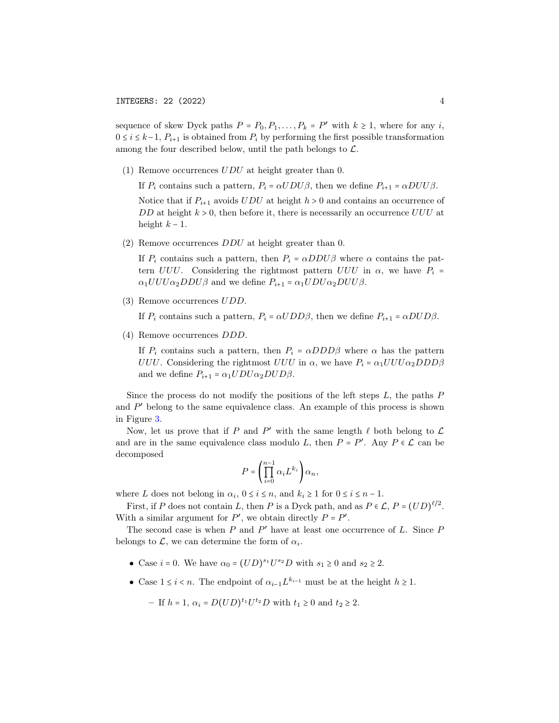sequence of skew Dyck paths  $P = P_0, P_1, \ldots, P_k = P'$  with  $k \ge 1$ , where for any i,  $0 \leq i \leq k-1$ ,  $P_{i+1}$  is obtained from  $P_i$  by performing the first possible transformation among the four described below, until the path belongs to  $\mathcal{L}$ .

(1) Remove occurrences  $UDU$  at height greater than 0.

If  $P_i$  contains such a pattern,  $P_i = \alpha U D U \beta$ , then we define  $P_{i+1} = \alpha D U U \beta$ .

Notice that if  $P_{i+1}$  avoids  $UDU$  at height  $h > 0$  and contains an occurrence of DD at height  $k > 0$ , then before it, there is necessarily an occurrence  $UUU$  at height  $k - 1$ .

(2) Remove occurrences DDU at height greater than 0.

If  $P_i$  contains such a pattern, then  $P_i = \alpha D D U \beta$  where  $\alpha$  contains the pattern  $UUU$ . Considering the rightmost pattern  $UUU$  in  $\alpha$ , we have  $P_i$  =  $\alpha_1 U U U \alpha_2 D D U \beta$  and we define  $P_{i+1} = \alpha_1 U D U \alpha_2 D U U \beta$ .

(3) Remove occurrences UDD.

If  $P_i$  contains such a pattern,  $P_i = \alpha U D D \beta$ , then we define  $P_{i+1} = \alpha D U D \beta$ .

(4) Remove occurrences DDD.

If  $P_i$  contains such a pattern, then  $P_i = \alpha D D D \beta$  where  $\alpha$  has the pattern UUU. Considering the rightmost UUU in  $\alpha$ , we have  $P_i = \alpha_1 U U U \alpha_2 D D D \beta$ and we define  $P_{i+1} = \alpha_1 UDU\alpha_2 DUD\beta.$ 

Since the process do not modify the positions of the left steps  $L$ , the paths  $P$ and  $P'$  belong to the same equivalence class. An example of this process is shown in Figure [3.](#page-4-0)

Now, let us prove that if P and P' with the same length  $\ell$  both belong to  $\mathcal L$ and are in the same equivalence class modulo L, then  $P = P'$ . Any  $P \in \mathcal{L}$  can be decomposed

$$
P = \left(\prod_{i=0}^{n-1} \alpha_i L^{k_i}\right) \alpha_n,
$$

where L does not belong in  $\alpha_i$ ,  $0 \le i \le n$ , and  $k_i \ge 1$  for  $0 \le i \le n - 1$ .

First, if P does not contain L, then P is a Dyck path, and as  $P \in \mathcal{L}, P = (UD)^{\ell/2}$ . With a similar argument for  $P'$ , we obtain directly  $P = P'$ .

The second case is when  $P$  and  $P'$  have at least one occurrence of  $L$ . Since  $P$ belongs to  $\mathcal{L}$ , we can determine the form of  $\alpha_i$ .

- Case  $i = 0$ . We have  $\alpha_0 = (UD)^{s_1}U^{s_2}D$  with  $s_1 \geq 0$  and  $s_2 \geq 2$ .
- Case  $1 \leq i \leq n$ . The endpoint of  $\alpha_{i-1} L^{k_{i-1}}$  must be at the height  $h \geq 1$ .
	- If  $h = 1$ ,  $\alpha_i = D(UD)^{t_1}U^{t_2}D$  with  $t_1 \ge 0$  and  $t_2 \ge 2$ .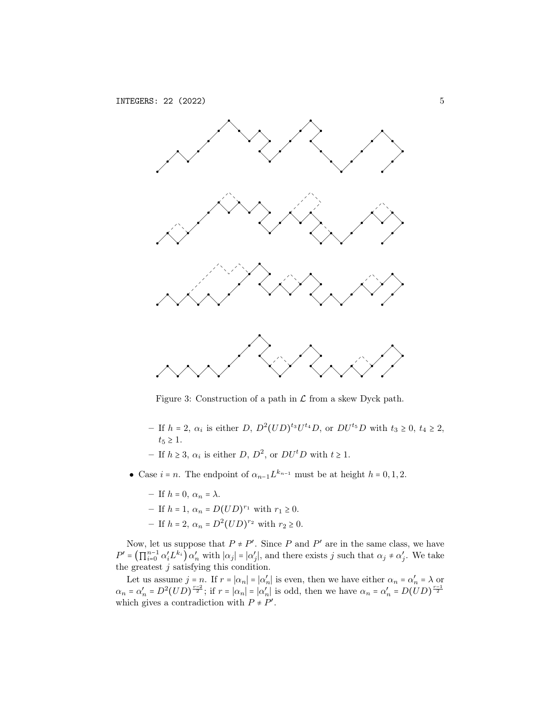<span id="page-4-0"></span>

Figure 3: Construction of a path in  $\mathcal L$  from a skew Dyck path.

- If  $h = 2$ ,  $\alpha_i$  is either D,  $D^2 (UD)^{t_3} U^{t_4} D$ , or  $DU^{t_5} D$  with  $t_3 \geq 0$ ,  $t_4 \geq 2$ ,  $t_5 \geq 1$ .
- − If  $h \ge 3$ ,  $\alpha_i$  is either D,  $D^2$ , or  $DU<sup>t</sup>D$  with  $t \ge 1$ .
- Case  $i = n$ . The endpoint of  $\alpha_{n-1} L^{k_{n-1}}$  must be at height  $h = 0, 1, 2$ .
	- If  $h = 0$ ,  $\alpha_n = \lambda$ .
	- $-$  If  $h = 1, \, \alpha_n = D(UD)^{r_1}$  with  $r_1 \ge 0$ .
	- $-$  If  $h = 2$ ,  $\alpha_n = D^2 (UD)^{r_2}$  with  $r_2 \ge 0$ .

Now, let us suppose that  $P \neq P'$ . Since P and P' are in the same class, we have  $P' = \left(\prod_{i=0}^{n-1} \alpha'_i L^{k_i}\right) \alpha'_n$  with  $|\alpha_j| = |\alpha'_j|$ , and there exists j such that  $\alpha_j \neq \alpha'_j$ . We take the greatest  $j$  satisfying this condition.

Let us assume  $j = n$ . If  $r = |\alpha_n| = |\alpha'_n|$  is even, then we have either  $\alpha_n = \alpha'_n = \lambda$  or  $\alpha_n = \alpha'_n = D^2 (UD)^{\frac{n-2}{2}}$ ; if  $r = |\alpha_n| = |\alpha'_n|$  is odd, then we have  $\alpha_n = \alpha'_n = D(UD)^{\frac{n-1}{2}}$ which gives a contradiction with  $P \neq P'$ .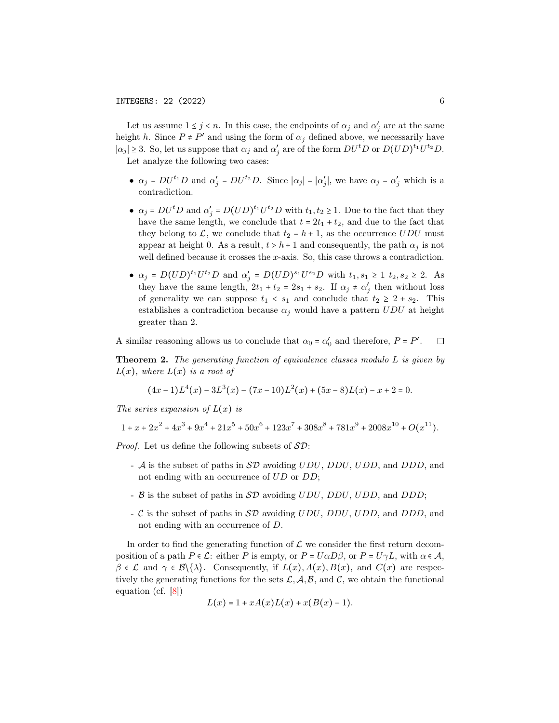Let us assume  $1 \leq j \leq n$ . In this case, the endpoints of  $\alpha_j$  and  $\alpha'_j$  are at the same height h. Since  $P \neq P'$  and using the form of  $\alpha_j$  defined above, we necessarily have  $|\alpha_j| \geq 3$ . So, let us suppose that  $\alpha_j$  and  $\alpha'_j$  are of the form  $DU^tD$  or  $D(UD)^{t_1}U^{t_2}D$ . Let analyze the following two cases:

- $\alpha_j = DU^{t_1}D$  and  $\alpha'_j = DU^{t_2}D$ . Since  $|\alpha_j| = |\alpha'_j|$ , we have  $\alpha_j = \alpha'_j$  which is a contradiction.
- $\alpha_j = DU^t D$  and  $\alpha'_j = D(UD)^{t_1} U^{t_2} D$  with  $t_1, t_2 \geq 1$ . Due to the fact that they have the same length, we conclude that  $t = 2t_1 + t_2$ , and due to the fact that they belong to L, we conclude that  $t_2 = h + 1$ , as the occurrence UDU must appear at height 0. As a result,  $t > h + 1$  and consequently, the path  $\alpha_i$  is not well defined because it crosses the x-axis. So, this case throws a contradiction.
- $\alpha_j = D(UD)^{t_1}U^{t_2}D$  and  $\alpha'_j = D(UD)^{s_1}U^{s_2}D$  with  $t_1, s_1 \ge 1$   $t_2, s_2 \ge 2$ . As they have the same length,  $2t_1 + t_2 = 2s_1 + s_2$ . If  $\alpha_j \neq \alpha'_j$  then without loss of generality we can suppose  $t_1 < s_1$  and conclude that  $t_2 \geq 2 + s_2$ . This establishes a contradiction because  $\alpha_j$  would have a pattern  $UDU$  at height greater than 2.

A similar reasoning allows us to conclude that  $\alpha_0 = \alpha'_0$  and therefore,  $P = P'$ .  $\Box$ 

**Theorem 2.** The generating function of equivalence classes modulo  $L$  is given by  $L(x)$ , where  $L(x)$  is a root of

$$
(4x-1)L4(x) - 3L3(x) - (7x-10)L2(x) + (5x-8)L(x) - x + 2 = 0.
$$

The series expansion of  $L(x)$  is

$$
1 + x + 2x2 + 4x3 + 9x4 + 21x5 + 50x6 + 123x7 + 308x8 + 781x9 + 2008x10 + O(x11).
$$

*Proof.* Let us define the following subsets of  $SD$ :

- A is the subset of paths in  $S\mathcal{D}$  avoiding UDU, DDU, UDD, and DDD, and not ending with an occurrence of UD or DD;
- $\beta$  is the subset of paths in  $\mathcal{SD}$  avoiding  $UDU$ ,  $DDU$ ,  $UDD$ , and  $DDD$ ;
- C is the subset of paths in  $S\mathcal{D}$  avoiding UDU, DDU, UDD, and DDD, and not ending with an occurrence of D.

In order to find the generating function of  $\mathcal L$  we consider the first return decomposition of a path  $P \in \mathcal{L}$ : either P is empty, or  $P = U \alpha D \beta$ , or  $P = U \gamma L$ , with  $\alpha \in \mathcal{A}$ ,  $\beta \in \mathcal{L}$  and  $\gamma \in \mathcal{B}\{\lambda\}$ . Consequently, if  $L(x)$ ,  $A(x)$ ,  $B(x)$ , and  $C(x)$  are respectively the generating functions for the sets  $\mathcal{L}, \mathcal{A}, \mathcal{B},$  and  $\mathcal{C}$ , we obtain the functional equation (cf. [\[8\]](#page-17-10))

$$
L(x) = 1 + xA(x)L(x) + x(B(x) - 1).
$$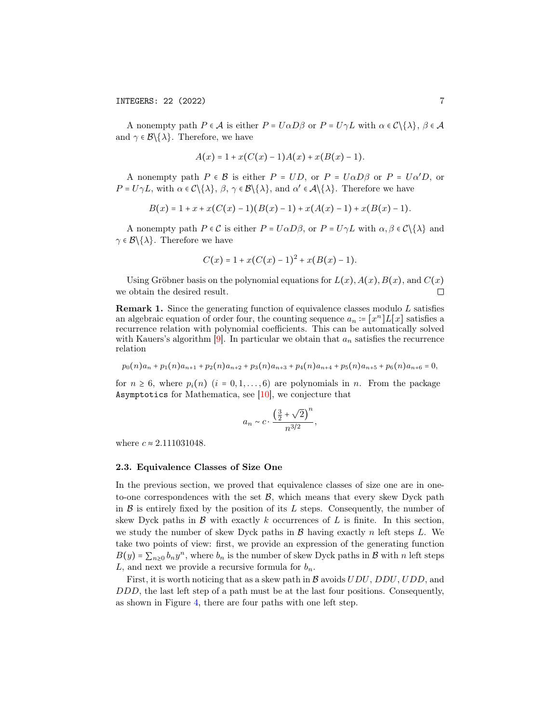A nonempty path  $P \in \mathcal{A}$  is either  $P = U \alpha D \beta$  or  $P = U \gamma L$  with  $\alpha \in \mathcal{C} \setminus \{\lambda\}, \beta \in \mathcal{A}$ and  $\gamma \in \mathcal{B}\backslash \{\lambda\}$ . Therefore, we have

$$
A(x) = 1 + x(C(x) - 1)A(x) + x(B(x) - 1).
$$

A nonempty path  $P \in \mathcal{B}$  is either  $P = UD$ , or  $P = U\alpha D\beta$  or  $P = U\alpha'D$ , or  $P = U \gamma L$ , with  $\alpha \in C \setminus {\lambda}$ ,  $\beta$ ,  $\gamma \in \mathcal{B} \setminus {\lambda}$ , and  $\alpha' \in \mathcal{A} \setminus {\lambda}$ . Therefore we have

$$
B(x) = 1 + x + x(C(x) - 1)(B(x) - 1) + x(A(x) - 1) + x(B(x) - 1).
$$

A nonempty path  $P \in \mathcal{C}$  is either  $P = U \alpha D \beta$ , or  $P = U \gamma L$  with  $\alpha, \beta \in \mathcal{C} \setminus \{\lambda\}$  and  $\gamma \in \mathcal{B}\backslash \{\lambda\}$ . Therefore we have

$$
C(x) = 1 + x(C(x) - 1)^{2} + x(B(x) - 1).
$$

Using Gröbner basis on the polynomial equations for  $L(x)$ ,  $A(x)$ ,  $B(x)$ , and  $C(x)$ we obtain the desired result.  $\Box$ 

<span id="page-6-0"></span>Remark 1. Since the generating function of equivalence classes modulo L satisfies an algebraic equation of order four, the counting sequence  $a_n = [x^n]L[x]$  satisfies a recurrence relation with polynomial coefficients. This can be automatically solved with Kauers's algorithm  $[9]$ . In particular we obtain that  $a_n$  satisfies the recurrence relation

$$
p_0(n)a_n+p_1(n)a_{n+1}+p_2(n)a_{n+2}+p_3(n)a_{n+3}+p_4(n)a_{n+4}+p_5(n)a_{n+5}+p_6(n)a_{n+6}=0,\\
$$

for  $n \geq 6$ , where  $p_i(n)$   $(i = 0, 1, \ldots, 6)$  are polynomials in n. From the package Asymptotics for Mathematica, see  $[10]$ , we conjecture that

$$
a_n \sim c \cdot \frac{\left(\frac{3}{2} + \sqrt{2}\right)^n}{n^{3/2}},
$$

where  $c \approx 2.111031048$ .

#### 2.3. Equivalence Classes of Size One

In the previous section, we proved that equivalence classes of size one are in oneto-one correspondences with the set  $B$ , which means that every skew Dyck path in  $\beta$  is entirely fixed by the position of its L steps. Consequently, the number of skew Dyck paths in  $\mathcal{B}$  with exactly k occurrences of L is finite. In this section, we study the number of skew Dyck paths in  $\mathcal{B}$  having exactly n left steps L. We take two points of view: first, we provide an expression of the generating function  $B(y) = \sum_{n\geq 0} b_n y^n$ , where  $b_n$  is the number of skew Dyck paths in  $\mathcal{B}$  with n left steps L, and next we provide a recursive formula for  $b_n$ .

First, it is worth noticing that as a skew path in  $\mathcal{B}$  avoids  $UDU$ ,  $DDU$ ,  $UDD$ , and DDD, the last left step of a path must be at the last four positions. Consequently, as shown in Figure [4,](#page-7-0) there are four paths with one left step.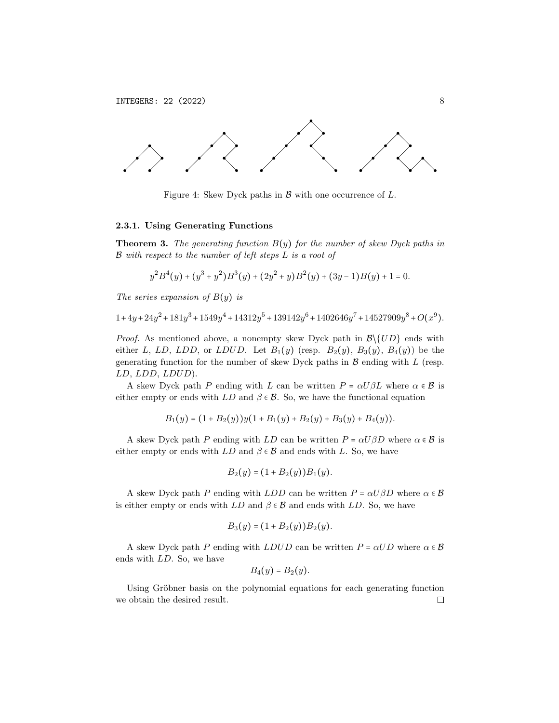<span id="page-7-0"></span>

Figure 4: Skew Dyck paths in  $\beta$  with one occurrence of  $L$ .

#### 2.3.1. Using Generating Functions

**Theorem 3.** The generating function  $B(y)$  for the number of skew Dyck paths in  $\mathcal B$  with respect to the number of left steps  $L$  is a root of

$$
y^{2}B^{4}(y) + (y^{3} + y^{2})B^{3}(y) + (2y^{2} + y)B^{2}(y) + (3y - 1)B(y) + 1 = 0.
$$

The series expansion of  $B(y)$  is

$$
1 + 4 y + 24 y^2 + 181 y^3 + 1549 y^4 + 14312 y^5 + 139142 y^6 + 1402646 y^7 + 14527909 y^8 + O(x^9).
$$

*Proof.* As mentioned above, a nonempty skew Dyck path in  $\mathcal{B}\setminus\{UD\}$  ends with either L, LD, LDD, or LDUD. Let  $B_1(y)$  (resp.  $B_2(y)$ ,  $B_3(y)$ ,  $B_4(y)$ ) be the generating function for the number of skew Dyck paths in  $\mathcal B$  ending with  $L$  (resp. LD, LDD, LDUD).

A skew Dyck path P ending with L can be written  $P = \alpha U \beta L$  where  $\alpha \in \mathcal{B}$  is either empty or ends with  $LD$  and  $\beta \in \mathcal{B}$ . So, we have the functional equation

$$
B_1(y) = (1 + B_2(y))y(1 + B_1(y) + B_2(y) + B_3(y) + B_4(y)).
$$

A skew Dyck path P ending with LD can be written  $P = \alpha U \beta D$  where  $\alpha \in \mathcal{B}$  is either empty or ends with  $LD$  and  $\beta \in \mathcal{B}$  and ends with L. So, we have

$$
B_2(y) = (1 + B_2(y))B_1(y).
$$

A skew Dyck path P ending with LDD can be written  $P = \alpha U \beta D$  where  $\alpha \in \mathcal{B}$ is either empty or ends with  $LD$  and  $\beta \in \mathcal{B}$  and ends with  $LD$ . So, we have

$$
B_3(y) = (1 + B_2(y))B_2(y).
$$

A skew Dyck path P ending with LDUD can be written  $P = \alpha UD$  where  $\alpha \in \mathcal{B}$ ends with LD. So, we have

$$
B_4(y)=B_2(y).
$$

Using Gröbner basis on the polynomial equations for each generating function we obtain the desired result. $\Box$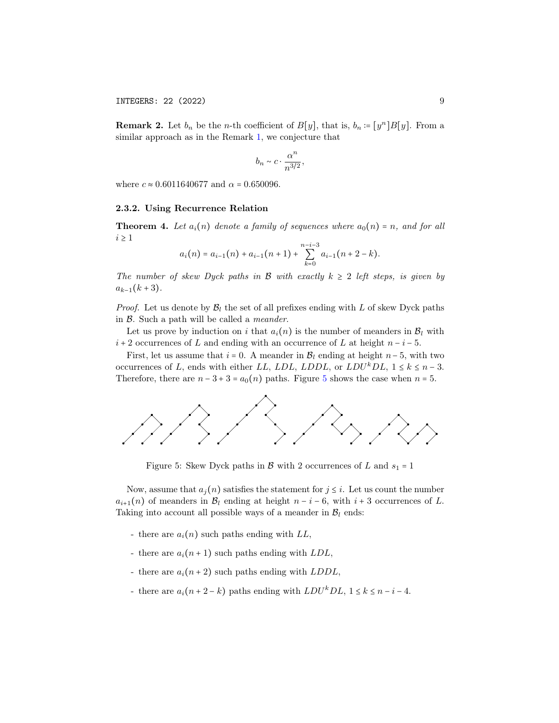**Remark 2.** Let  $b_n$  be the *n*-th coefficient of  $B[y]$ , that is,  $b_n = [y^n]B[y]$ . From a similar approach as in the Remark [1,](#page-6-0) we conjecture that

$$
b_n \sim c \cdot \frac{\alpha^n}{n^{3/2}},
$$

where  $c \approx 0.6011640677$  and  $\alpha = 0.650096$ .

#### 2.3.2. Using Recurrence Relation

**Theorem 4.** Let  $a_i(n)$  denote a family of sequences where  $a_0(n) = n$ , and for all  $i \geq 1$ 

$$
a_i(n) = a_{i-1}(n) + a_{i-1}(n+1) + \sum_{k=0}^{n-i-3} a_{i-1}(n+2-k).
$$

The number of skew Dyck paths in B with exactly  $k \geq 2$  left steps, is given by  $a_{k-1}(k+3)$ .

*Proof.* Let us denote by  $\mathcal{B}_l$  the set of all prefixes ending with L of skew Dyck paths in B. Such a path will be called a meander.

Let us prove by induction on i that  $a_i(n)$  is the number of meanders in  $B_l$  with  $i + 2$  occurrences of L and ending with an occurrence of L at height  $n - i - 5$ .

First, let us assume that  $i = 0$ . A meander in  $\mathcal{B}_l$  ending at height  $n-5$ , with two occurrences of L, ends with either LL, LDL, LDDL, or  $LDU^kDL$ ,  $1 \leq k \leq n-3$ . Therefore, there are  $n - 3 + 3 = a_0(n)$  paths. Figure [5](#page-8-0) shows the case when  $n = 5$ .

<span id="page-8-0"></span>

Figure 5: Skew Dyck paths in  $\beta$  with 2 occurrences of L and  $s_1 = 1$ 

Now, assume that  $a_i(n)$  satisfies the statement for  $j \leq i$ . Let us count the number  $a_{i+1}(n)$  of meanders in  $\mathcal{B}_l$  ending at height  $n-i-6$ , with  $i+3$  occurrences of L. Taking into account all possible ways of a meander in  $\mathcal{B}_l$  ends:

- there are  $a_i(n)$  such paths ending with  $LL$ ,
- there are  $a_i(n+1)$  such paths ending with  $LDL$ ,
- there are  $a_i(n+2)$  such paths ending with  $LDDL$ ,
- there are  $a_i(n+2-k)$  paths ending with  $LDU^kDL$ ,  $1 \leq k \leq n-i-4$ .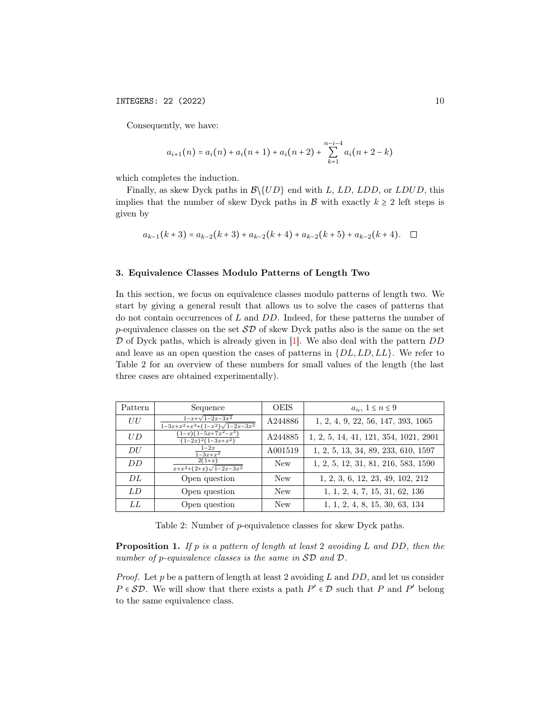Consequently, we have:

$$
a_{i+1}(n) = a_i(n) + a_i(n+1) + a_i(n+2) + \sum_{k=1}^{n-i-4} a_i(n+2-k)
$$

which completes the induction.

Finally, as skew Dyck paths in  $\mathcal{B}\setminus \set{UD}$  end with L, LD, LDD, or LDUD, this implies that the number of skew Dyck paths in B with exactly  $k \geq 2$  left steps is given by

$$
a_{k-1}(k+3) = a_{k-2}(k+3) + a_{k-2}(k+4) + a_{k-2}(k+5) + a_{k-2}(k+4). \quad \Box
$$

#### 3. Equivalence Classes Modulo Patterns of Length Two

In this section, we focus on equivalence classes modulo patterns of length two. We start by giving a general result that allows us to solve the cases of patterns that do not contain occurrences of L and DD. Indeed, for these patterns the number of p-equivalence classes on the set  $\mathcal{SD}$  of skew Dyck paths also is the same on the set  $D$  of Dyck paths, which is already given in [\[1\]](#page-17-5). We also deal with the pattern  $DD$ and leave as an open question the cases of patterns in  $\{DL, LD, LL\}$ . We refer to Table 2 for an overview of these numbers for small values of the length (the last three cases are obtained experimentally).

| Pattern | Sequence                                                         | <b>OEIS</b> | $a_n, 1 \leq n \leq 9$                |
|---------|------------------------------------------------------------------|-------------|---------------------------------------|
| UU      | $1-x+\sqrt{1-2x-3x^2}$<br>$1-3x+x^2+x^3+(1-x^2)\sqrt{1-2x-3x^2}$ | A244886     | 1, 2, 4, 9, 22, 56, 147, 393, 1065    |
| U D     | $\frac{1-x}{1-5x+7x^2-x^3}$<br>$\sqrt{(1-2x)^2(1-3x+x^2)}$       | A244885     | 1, 2, 5, 14, 41, 121, 354, 1021, 2901 |
| DU      | $1-2x$<br>$\frac{1-3x+x^2}{x^2}$                                 | A001519     | 1, 2, 5, 13, 34, 89, 233, 610, 1597   |
| DD      | $2(1+x)$<br>$x+x^2+(2+x)\sqrt{1-2x-3x^2}$                        | New         | 1, 2, 5, 12, 31, 81, 216, 583, 1590   |
| DL      | Open question                                                    | <b>New</b>  | 1, 2, 3, 6, 12, 23, 49, 102, 212      |
| LD.     | Open question                                                    | <b>New</b>  | 1, 1, 2, 4, 7, 15, 31, 62, 136        |
| LL      | Open question                                                    | <b>New</b>  | 1, 1, 2, 4, 8, 15, 30, 63, 134        |

Table 2: Number of p-equivalence classes for skew Dyck paths.

**Proposition 1.** If p is a pattern of length at least 2 avoiding L and DD, then the number of p-equivalence classes is the same in  $SD$  and  $D$ .

*Proof.* Let p be a pattern of length at least 2 avoiding L and DD, and let us consider  $P \in SD$ . We will show that there exists a path  $P' \in D$  such that P and P' belong to the same equivalence class.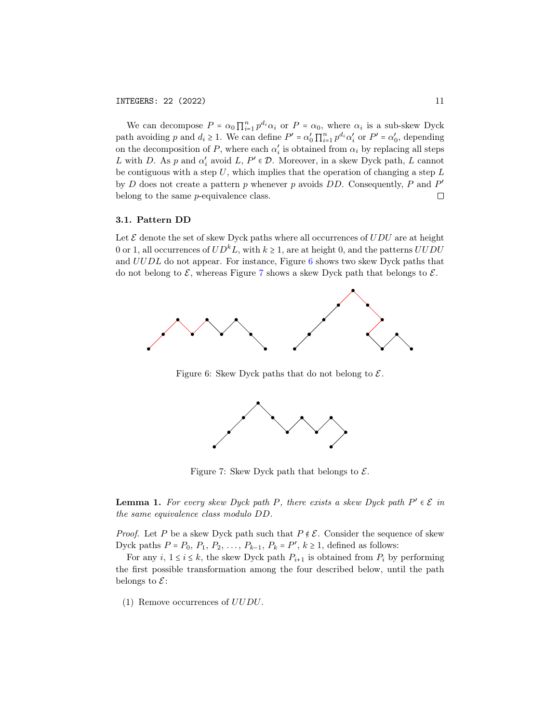We can decompose  $P = \alpha_0 \prod_{i=1}^n p^{d_i} \alpha_i$  or  $P = \alpha_0$ , where  $\alpha_i$  is a sub-skew Dyck path avoiding p and  $d_i \geq 1$ . We can define  $P' = \alpha'_0 \prod_{i=1}^n p^{d_i} \alpha'_i$  or  $P' = \alpha'_0$ , depending on the decomposition of P, where each  $\alpha'_i$  is obtained from  $\alpha_i$  by replacing all steps L with D. As p and  $\alpha'_i$  avoid L,  $P' \in \mathcal{D}$ . Moreover, in a skew Dyck path, L cannot be contiguous with a step  $U$ , which implies that the operation of changing a step  $L$ by  $D$  does not create a pattern  $p$  whenever  $p$  avoids  $DD$ . Consequently,  $P$  and  $P'$ belong to the same p-equivalence class.  $\Box$ 

### 3.1. Pattern DD

Let  $\mathcal E$  denote the set of skew Dyck paths where all occurrences of  $UDU$  are at height 0 or 1, all occurrences of  $UD^kL$ , with  $k \ge 1$ , are at height 0, and the patterns UUDU and UUDL do not appear. For instance, Figure [6](#page-10-0) shows two skew Dyck paths that do not belong to  $\mathcal{E}$ , whereas Figure [7](#page-10-1) shows a skew Dyck path that belongs to  $\mathcal{E}$ .

<span id="page-10-0"></span>

<span id="page-10-1"></span>Figure 6: Skew Dyck paths that do not belong to  $\mathcal{E}$ .



Figure 7: Skew Dyck path that belongs to  $\mathcal{E}$ .

**Lemma 1.** For every skew Dyck path P, there exists a skew Dyck path  $P' \in \mathcal{E}$  in the same equivalence class modulo DD.

*Proof.* Let P be a skew Dyck path such that  $P \notin \mathcal{E}$ . Consider the sequence of skew Dyck paths  $P = P_0, P_1, P_2, \ldots, P_{k-1}, P_k = P', k \ge 1$ , defined as follows:

For any  $i, 1 \le i \le k$ , the skew Dyck path  $P_{i+1}$  is obtained from  $P_i$  by performing the first possible transformation among the four described below, until the path belongs to  $\mathcal{E}$ :

(1) Remove occurrences of UUDU.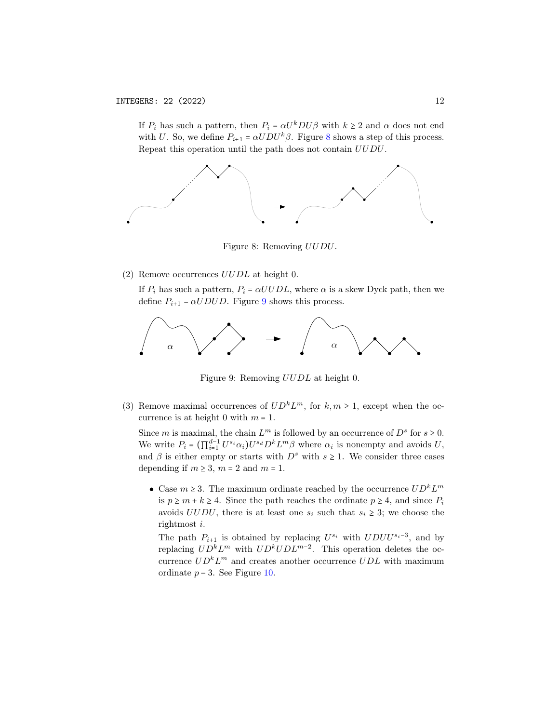If  $P_i$  has such a pattern, then  $P_i = \alpha U^k D U \beta$  with  $k \geq 2$  and  $\alpha$  does not end with U. So, we define  $P_{i+1} = \alpha U D U^k \beta$ . Figure [8](#page-11-0) shows a step of this process. Repeat this operation until the path does not contain UUDU.

<span id="page-11-0"></span>

Figure 8: Removing UUDU.

(2) Remove occurrences  $UUDL$  at height 0.

If  $P_i$  has such a pattern,  $P_i = \alpha U U D L$ , where  $\alpha$  is a skew Dyck path, then we define  $P_{i+1} = \alpha U D U D$ . Figure [9](#page-11-1) shows this process.

<span id="page-11-1"></span>

Figure 9: Removing UUDL at height 0.

(3) Remove maximal occurrences of  $UD^kL^m$ , for  $k, m \ge 1$ , except when the occurrence is at height 0 with  $m = 1$ .

Since *m* is maximal, the chain  $L^m$  is followed by an occurrence of  $D^s$  for  $s \ge 0$ . We write  $P_i = (\prod_{i=1}^{d-1} U^{s_i} \alpha_i) U^{s_d} D^k L^m \beta$  where  $\alpha_i$  is nonempty and avoids U, and  $\beta$  is either empty or starts with  $D^s$  with  $s \geq 1$ . We consider three cases depending if  $m \geq 3$ ,  $m = 2$  and  $m = 1$ .

• Case  $m \geq 3$ . The maximum ordinate reached by the occurrence  $UD^kL^m$ is  $p \ge m + k \ge 4$ . Since the path reaches the ordinate  $p \ge 4$ , and since  $P_i$ avoids  $UUDU$ , there is at least one  $s_i$  such that  $s_i \geq 3$ ; we choose the rightmost i.

The path  $P_{i+1}$  is obtained by replacing  $U^{s_i}$  with  $UDUU^{s_i-3}$ , and by replacing  $UD^k L^m$  with  $UD^k U DL^{m-2}$ . This operation deletes the occurrence  $UD<sup>k</sup>L<sup>m</sup>$  and creates another occurrence  $UDL$  with maximum ordinate  $p-3$ . See Figure [10.](#page-12-0)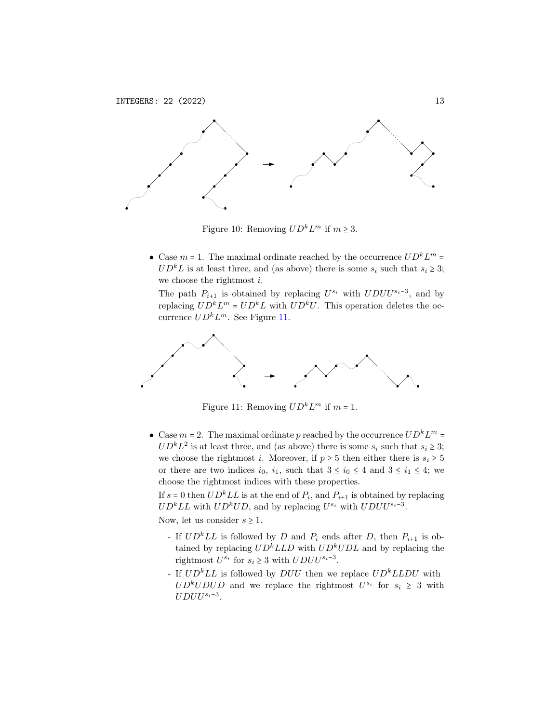<span id="page-12-0"></span>

Figure 10: Removing  $UD^kL^m$  if  $m \geq 3$ .

• Case  $m = 1$ . The maximal ordinate reached by the occurrence  $UD^kL^m =$  $UD<sup>k</sup>L$  is at least three, and (as above) there is some  $s<sub>i</sub>$  such that  $s<sub>i</sub> \ge 3$ ; we choose the rightmost  $i$ .

The path  $P_{i+1}$  is obtained by replacing  $U^{s_i}$  with  $UDUU^{s_i-3}$ , and by replacing  $UD^k L^m = UD^k L$  with  $UD^k U$ . This operation deletes the occurrence  $UD^k L^m$ . See Figure [11.](#page-12-1)

<span id="page-12-1"></span>

Figure 11: Removing  $UD^kL^m$  if  $m = 1$ .

• Case  $m = 2$ . The maximal ordinate p reached by the occurrence  $U D^k L^m =$  $UD<sup>k</sup>L<sup>2</sup>$  is at least three, and (as above) there is some  $s<sub>i</sub>$  such that  $s<sub>i</sub> \ge 3$ ; we choose the rightmost *i*. Moreover, if  $p \geq 5$  then either there is  $s_i \geq 5$ or there are two indices  $i_0$ ,  $i_1$ , such that  $3 \le i_0 \le 4$  and  $3 \le i_1 \le 4$ ; we choose the rightmost indices with these properties.

If  $s = 0$  then  $UD<sup>k</sup>LL$  is at the end of  $P_i$ , and  $P_{i+1}$  is obtained by replacing  $UD<sup>k</sup>LL$  with  $UD<sup>k</sup>UD$ , and by replacing  $U<sup>s<sub>i</sub></sup>$  with  $UDUU<sup>s<sub>i</sub>-3</sup>$ . Now, let us consider  $s \geq 1$ .

- If  $UD<sup>k</sup>LL$  is followed by D and  $P_i$  ends after D, then  $P_{i+1}$  is obtained by replacing  $UD^kLLD$  with  $UD^kUDL$  and by replacing the rightmost  $U^{s_i}$  for  $s_i \geq 3$  with  $UDUU^{s_i-3}$ .
- If  $UD^kLL$  is followed by  $DUU$  then we replace  $UD^kLLDU$  with  $UD<sup>k</sup>UDUD$  and we replace the rightmost  $U<sup>s<sub>i</sub></sup>$  for  $s<sub>i</sub> \geq 3$  with  $UDUU^{s_i-3}.$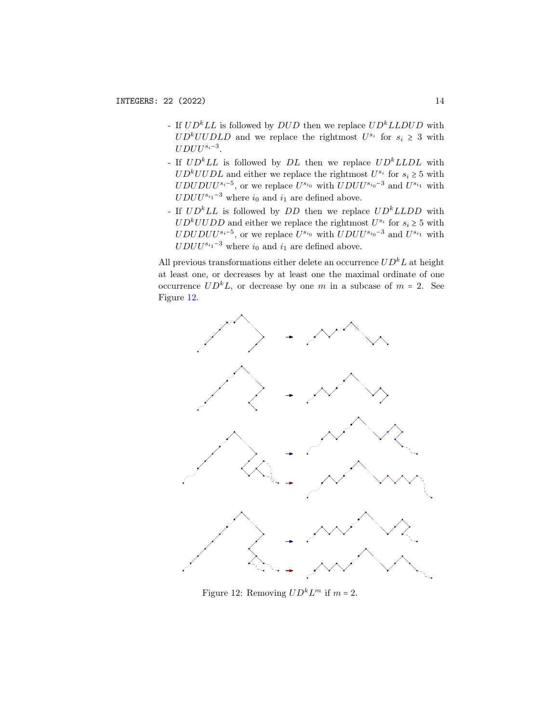- If  $UD<sup>k</sup>LL$  is followed by  $DUD$  then we replace  $UD<sup>k</sup>LLDUD$  with  $UD<sup>k</sup>UUDLD$  and we replace the rightmost  $U<sup>s<sub>i</sub></sup>$  for  $s<sub>i</sub> \geq 3$  with  $UDUU^{s_i-3}$ .
- If  $UD^kLL$  is followed by DL then we replace  $UD^kLLDL$  with  $UD<sup>k</sup>UUDL$  and either we replace the rightmost  $U<sup>s<sub>i</sub></sup>$  for  $s<sub>i</sub> \ge 5$  with  $UDUDU^{s_i-5}$ , or we replace  $U^{s_{i_0}}$  with  $UDUU^{s_{i_0}-3}$  and  $U^{s_{i_1}}$  with  $UDUU^{s_{i_1}-3}$  where  $i_0$  and  $i_1$  are defined above.
- If  $UD<sup>k</sup>LL$  is followed by  $DD$  then we replace  $UD<sup>k</sup>LLDD$  with  $UD<sup>k</sup>UUDD$  and either we replace the rightmost  $U<sup>s<sub>i</sub></sup>$  for  $s<sub>i</sub> \ge 5$  with  $UDUDUU^{s_i-5}$ , or we replace  $U^{s_{i_0}}$  with  $UDUU^{s_{i_0}-3}$  and  $U^{s_{i_1}}$  with  $UDUU^{s_{i_1}-3}$  where  $i_0$  and  $i_1$  are defined above.

All previous transformations either delete an occurrence  $U D^k L$  at height at least one, or decreases by at least one the maximal ordinate of one occurrence  $UD^kL$ , or decrease by one m in a subcase of  $m = 2$ . See Figure [12.](#page-13-0)

<span id="page-13-0"></span>

Figure 12: Removing  $UD^kL^m$  if  $m = 2$ .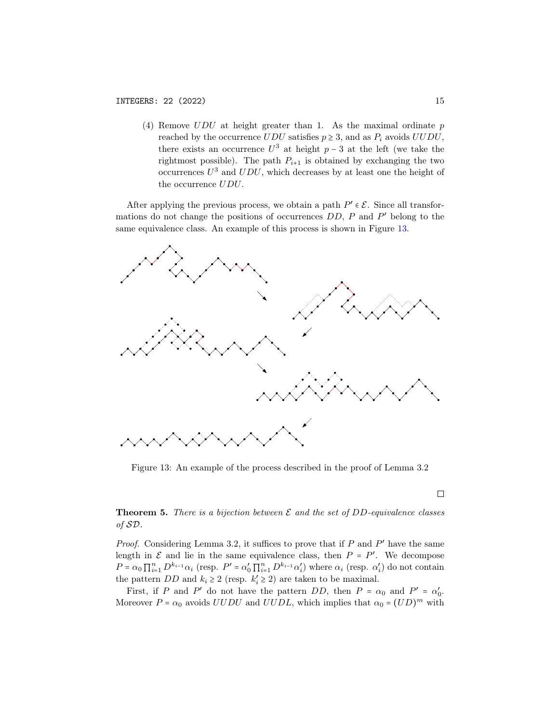(4) Remove  $UDU$  at height greater than 1. As the maximal ordinate  $p$ reached by the occurrence  $UDU$  satisfies  $p \geq 3$ , and as  $P_i$  avoids  $UUDU$ , there exists an occurrence  $U^3$  at height  $p-3$  at the left (we take the rightmost possible). The path  $P_{i+1}$  is obtained by exchanging the two occurrences  $U^3$  and  $UDU$ , which decreases by at least one the height of the occurrence UDU.

After applying the previous process, we obtain a path  $P' \in \mathcal{E}$ . Since all transformations do not change the positions of occurrences  $DD$ ,  $P$  and  $P'$  belong to the same equivalence class. An example of this process is shown in Figure [13.](#page-14-0)

<span id="page-14-0"></span>

Figure 13: An example of the process described in the proof of Lemma 3.2

 $\Box$ 

**Theorem 5.** There is a bijection between  $\mathcal E$  and the set of DD-equivalence classes of SD.

*Proof.* Considering Lemma 3.2, it suffices to prove that if  $P$  and  $P'$  have the same length in  $\mathcal E$  and lie in the same equivalence class, then  $P = P'$ . We decompose  $P = \alpha_0 \prod_{i=1}^n D^{k_{i-1}} \alpha_i$  (resp.  $P' = \alpha'_0 \prod_{i=1}^n D^{k_{i-1}} \alpha'_i$ ) where  $\alpha_i$  (resp.  $\alpha'_i$ ) do not contain the pattern  $DD$  and  $k_i \ge 2$  (resp.  $k'_i \ge 2$ ) are taken to be maximal.

First, if P and P' do not have the pattern DD, then  $P = \alpha_0$  and  $P' = \alpha'_0$ . Moreover  $P = \alpha_0$  avoids  $UUDU$  and  $UUDL$ , which implies that  $\alpha_0 = (UD)^m$  with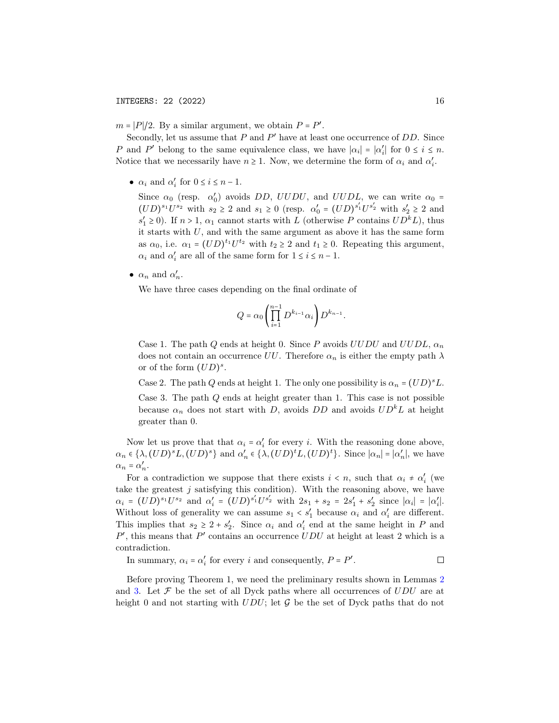$m = |P|/2$ . By a similar argument, we obtain  $P = P'$ .

Secondly, let us assume that  $P$  and  $P'$  have at least one occurrence of  $DD$ . Since P and P' belong to the same equivalence class, we have  $|\alpha_i| = |\alpha'_i|$  for  $0 \le i \le n$ . Notice that we necessarily have  $n \geq 1$ . Now, we determine the form of  $\alpha_i$  and  $\alpha'_i$ .

•  $\alpha_i$  and  $\alpha'_i$  for  $0 \le i \le n-1$ .

Since  $\alpha_0$  (resp.  $\alpha'_0$ ) avoids DD, UUDU, and UUDL, we can write  $\alpha_0$  =  $(UD)^{s_1}U^{s_2}$  with  $s_2 \ge 2$  and  $s_1 \ge 0$  (resp.  $\alpha'_0 = (UD)^{s'_1}U^{s'_2}$  with  $s'_2 \ge 2$  and  $s'_1 \ge 0$ ). If  $n > 1$ ,  $\alpha_1$  cannot starts with L (otherwise P contains  $UD^kL$ ), thus it starts with  $U$ , and with the same argument as above it has the same form as  $\alpha_0$ , i.e.  $\alpha_1 = (UD)^{t_1}U^{t_2}$  with  $t_2 \ge 2$  and  $t_1 \ge 0$ . Repeating this argument,  $\alpha_i$  and  $\alpha'_i$  are all of the same form for  $1 \le i \le n-1$ .

•  $\alpha_n$  and  $\alpha'_n$ .

We have three cases depending on the final ordinate of

$$
Q = \alpha_0 \left( \prod_{i=1}^{n-1} D^{k_{i-1}} \alpha_i \right) D^{k_{n-1}}.
$$

Case 1. The path Q ends at height 0. Since P avoids  $UUDU$  and  $UUDL$ ,  $\alpha_n$ does not contain an occurrence UU. Therefore  $\alpha_n$  is either the empty path  $\lambda$ or of the form  $(UD)^s$ .

Case 2. The path Q ends at height 1. The only one possibility is  $\alpha_n = (UD)^s L$ .

Case 3. The path  $Q$  ends at height greater than 1. This case is not possible because  $\alpha_n$  does not start with D, avoids DD and avoids  $UD^kL$  at height greater than 0.

Now let us prove that that  $\alpha_i = \alpha'_i$  for every *i*. With the reasoning done above,  $\alpha_n \in \{\lambda, (UD)^s L, (UD)^s\}$  and  $\alpha'_n \in \{\lambda, (UD)^t L, (UD)^t\}$ . Since  $|\alpha_n| = |\alpha'_n|$ , we have  $\alpha_n = \alpha'_n.$ 

For a contradiction we suppose that there exists  $i \leq n$ , such that  $\alpha_i \neq \alpha'_i$  (we take the greatest  $j$  satisfying this condition). With the reasoning above, we have  $\alpha_i = (UD)^{s_1}U^{s_2}$  and  $\alpha'_i = (UD)^{s'_1}U^{s'_2}$  with  $2s_1 + s_2 = 2s'_1 + s'_2$  since  $|\alpha_i| = |\alpha'_i|$ . Without loss of generality we can assume  $s_1 < s_1'$  because  $\alpha_i$  and  $\alpha_i'$  are different. This implies that  $s_2 \geq 2 + s'_2$ . Since  $\alpha_i$  and  $\alpha'_i$  end at the same height in P and  $P'$ , this means that  $P'$  contains an occurrence  $UDU$  at height at least 2 which is a contradiction.

In summary, 
$$
\alpha_i = \alpha'_i
$$
 for every *i* and consequently,  $P = P'$ .

Before proving Theorem 1, we need the preliminary results shown in Lemmas [2](#page-16-0) and [3.](#page-16-1) Let  $\mathcal F$  be the set of all Dyck paths where all occurrences of  $UDU$  are at height 0 and not starting with  $UDU$ ; let  $G$  be the set of Dyck paths that do not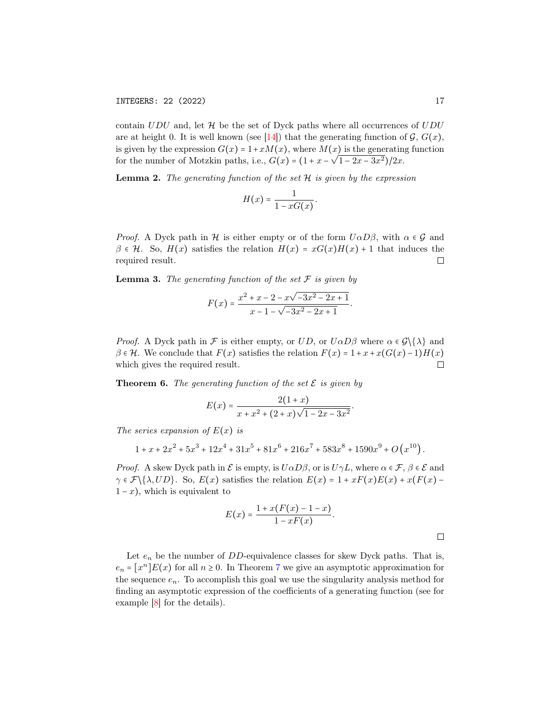contain  $UDU$  and, let  $H$  be the set of Dyck paths where all occurrences of  $UDU$ are at height 0. It is well known (see [\[14\]](#page-17-13)) that the generating function of  $\mathcal{G}, G(x)$ , is given by the expression  $G(x) = 1 + xM(x)$ , where  $M(x)$  is the generating function for the number of Motzkin paths, i.e.,  $G(x) = (1 + x - \sqrt{1 - 2x - 3x^2})/2x$ .

<span id="page-16-0"></span>**Lemma 2.** The generating function of the set  $H$  is given by the expression

$$
H(x) = \frac{1}{1 - xG(x)}.
$$

*Proof.* A Dyck path in H is either empty or of the form  $U\alpha D\beta$ , with  $\alpha \in \mathcal{G}$  and  $\beta \in \mathcal{H}$ . So,  $H(x)$  satisfies the relation  $H(x) = xG(x)H(x) + 1$  that induces the required result.  $\Box$ 

<span id="page-16-1"></span>**Lemma 3.** The generating function of the set  $\mathcal F$  is given by

$$
F(x) = \frac{x^2 + x - 2 - x\sqrt{-3x^2 - 2x + 1}}{x - 1 - \sqrt{-3x^2 - 2x + 1}}.
$$

*Proof.* A Dyck path in F is either empty, or  $UD$ , or  $U\alpha D\beta$  where  $\alpha \in \mathcal{G}\setminus\{\lambda\}$  and  $\beta \in \mathcal{H}$ . We conclude that  $F(x)$  satisfies the relation  $F(x) = 1 + x + x(G(x) - 1)H(x)$ which gives the required result.  $\Box$ 

**Theorem 6.** The generating function of the set  $\mathcal{E}$  is given by

$$
E(x) = \frac{2(1+x)}{x+x^2+(2+x)\sqrt{1-2x-3x^2}}
$$

The series expansion of  $E(x)$  is

$$
1 + x + 2x^2 + 5x^3 + 12x^4 + 31x^5 + 81x^6 + 216x^7 + 583x^8 + 1590x^9 + O(x^{10}).
$$

*Proof.* A skew Dyck path in  $\mathcal E$  is empty, is  $U\alpha D\beta$ , or is  $U\gamma L$ , where  $\alpha \in \mathcal F$ ,  $\beta \in \mathcal E$  and  $\gamma \in \mathcal{F}\backslash \{\lambda, UD\}$ . So,  $E(x)$  satisfies the relation  $E(x) = 1 + xF(x)E(x) + x(F(x) 1-x$ , which is equivalent to

$$
E(x) = \frac{1 + x(F(x) - 1 - x)}{1 - xF(x)}.
$$

.

Let  $e_n$  be the number of DD-equivalence classes for skew Dyck paths. That is,  $e_n = [x^n]E(x)$  for all  $n \ge 0$ . In Theorem [7](#page-17-14) we give an asymptotic approximation for the sequence  $e_n$ . To accomplish this goal we use the singularity analysis method for finding an asymptotic expression of the coefficients of a generating function (see for example [\[8\]](#page-17-10) for the details).